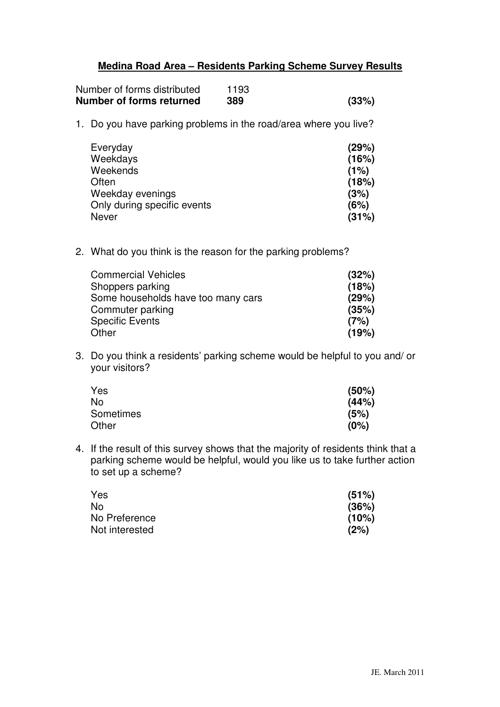## **Medina Road Area – Residents Parking Scheme Survey Results**

| Number of forms distributed | 1193 |       |
|-----------------------------|------|-------|
| Number of forms returned    | 389  | (33%) |

1. Do you have parking problems in the road/area where you live?

| Everyday                    | (29%) |
|-----------------------------|-------|
| Weekdays                    | (16%) |
| Weekends                    | (1%)  |
| Often                       | (18%) |
| Weekday evenings            | (3%)  |
| Only during specific events | (6%)  |
| Never                       | (31%) |

2. What do you think is the reason for the parking problems?

| <b>Commercial Vehicles</b>         | (32%) |
|------------------------------------|-------|
| Shoppers parking                   | (18%) |
| Some households have too many cars | (29%) |
| Commuter parking                   | (35%) |
| <b>Specific Events</b>             | (7%)  |
| Other                              | (19%) |

3. Do you think a residents' parking scheme would be helpful to you and/ or your visitors?

| Yes       | (50%) |
|-----------|-------|
| No        | (44%) |
| Sometimes | (5%)  |
| Other     | (0%)  |

4. If the result of this survey shows that the majority of residents think that a parking scheme would be helpful, would you like us to take further action to set up a scheme?

| Yes            | (51%) |
|----------------|-------|
| No             | (36%) |
| No Preference  | (10%) |
| Not interested | (2%)  |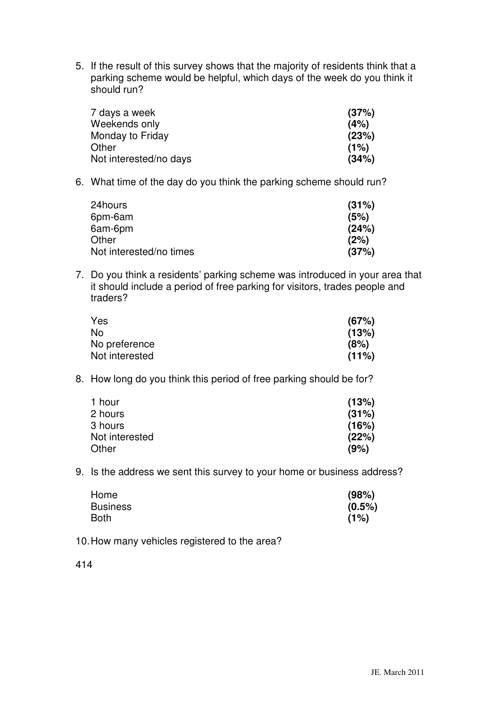5. If the result of this survey shows that the majority of residents think that a parking scheme would be helpful, which days of the week do you think it should run?

| 7 days a week          | (37%) |
|------------------------|-------|
| Weekends only          | (4%)  |
| Monday to Friday       | (23%) |
| Other                  | (1%)  |
| Not interested/no days | (34%) |

6. What time of the day do you think the parking scheme should run?

| 24hours                 | (31%) |
|-------------------------|-------|
| 6pm-6am                 | (5%)  |
| 6am-6pm                 | (24%) |
| Other                   | (2%)  |
| Not interested/no times | (37%) |

7. Do you think a residents' parking scheme was introduced in your area that it should include a period of free parking for visitors, trades people and traders?

| Yes            | (67%) |
|----------------|-------|
| No             | (13%) |
| No preference  | (8%)  |
| Not interested | (11%) |

8. How long do you think this period of free parking should be for?

| 1 hour         | (13%) |
|----------------|-------|
| 2 hours        | (31%) |
| 3 hours        | (16%) |
| Not interested | (22%) |
| Other          | (9%)  |

9. Is the address we sent this survey to your home or business address?

| Home            | (98%)     |
|-----------------|-----------|
| <b>Business</b> | $(0.5\%)$ |
| Both            | (1%)      |

10. How many vehicles registered to the area?

414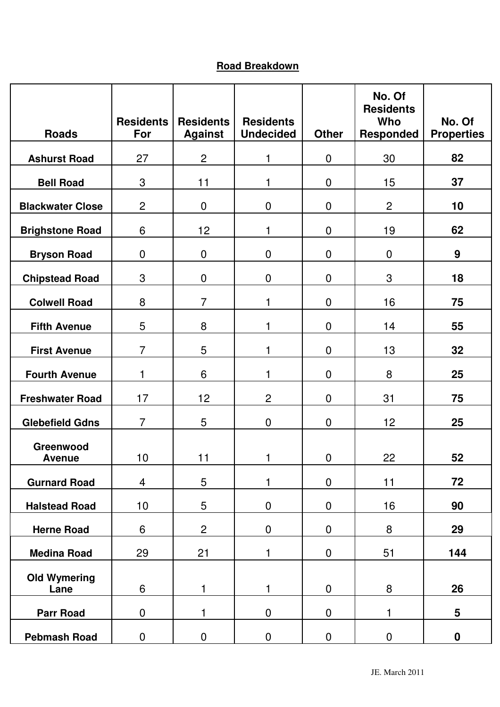## **Road Breakdown**

| <b>Roads</b>                | <b>Residents</b><br>For | <b>Residents</b><br><b>Against</b> | <b>Residents</b><br><b>Undecided</b> | <b>Other</b>   | No. Of<br><b>Residents</b><br>Who<br><b>Responded</b> | No. Of<br><b>Properties</b> |
|-----------------------------|-------------------------|------------------------------------|--------------------------------------|----------------|-------------------------------------------------------|-----------------------------|
| <b>Ashurst Road</b>         | 27                      | $\overline{2}$                     | 1                                    | $\mathbf 0$    | 30                                                    | 82                          |
| <b>Bell Road</b>            | 3                       | 11                                 | 1                                    | $\mathbf 0$    | 15                                                    | 37                          |
| <b>Blackwater Close</b>     | $\overline{2}$          | $\mathbf 0$                        | $\pmb{0}$                            | $\mathbf 0$    | $\overline{2}$                                        | 10                          |
| <b>Brighstone Road</b>      | 6                       | 12                                 | 1                                    | $\overline{0}$ | 19                                                    | 62                          |
| <b>Bryson Road</b>          | $\mathbf 0$             | $\mathbf 0$                        | $\mathbf 0$                          | $\mathbf 0$    | $\mathbf 0$                                           | 9                           |
| <b>Chipstead Road</b>       | 3                       | $\mathbf 0$                        | $\mathbf 0$                          | $\mathbf 0$    | 3                                                     | 18                          |
| <b>Colwell Road</b>         | 8                       | $\overline{7}$                     | 1                                    | $\mathbf 0$    | 16                                                    | 75                          |
| <b>Fifth Avenue</b>         | 5                       | 8                                  | 1                                    | $\mathbf 0$    | 14                                                    | 55                          |
| <b>First Avenue</b>         | $\overline{7}$          | 5                                  | 1                                    | $\mathbf 0$    | 13                                                    | 32                          |
| <b>Fourth Avenue</b>        | 1                       | 6                                  | 1                                    | $\mathbf 0$    | 8                                                     | 25                          |
| <b>Freshwater Road</b>      | 17                      | 12                                 | $\overline{2}$                       | $\mathbf 0$    | 31                                                    | 75                          |
| <b>Glebefield Gdns</b>      | $\overline{7}$          | 5                                  | $\boldsymbol{0}$                     | $\mathbf 0$    | 12                                                    | 25                          |
| Greenwood<br><b>Avenue</b>  | 10                      | 11                                 | 1                                    | $\pmb{0}$      | 22                                                    | 52                          |
| <b>Gurnard Road</b>         | $\overline{4}$          | 5                                  | 1                                    | $\mathbf 0$    | 11                                                    | 72                          |
| <b>Halstead Road</b>        | 10 <sub>1</sub>         | 5                                  | $\boldsymbol{0}$                     | $\mathbf 0$    | 16                                                    | 90                          |
| <b>Herne Road</b>           | $6\,$                   | $\overline{c}$                     | $\pmb{0}$                            | $\pmb{0}$      | 8                                                     | 29                          |
| <b>Medina Road</b>          | 29                      | 21                                 | 1                                    | $\mathbf 0$    | 51                                                    | 144                         |
| <b>Old Wymering</b><br>Lane | 6                       | 1                                  | 1                                    | $\mathbf 0$    | 8                                                     | 26                          |
| <b>Parr Road</b>            | $\mathbf 0$             | 1                                  | $\mathbf 0$                          | $\mathbf 0$    | 1                                                     | 5                           |
| <b>Pebmash Road</b>         | 0                       | 0                                  | $\mathbf 0$                          | $\overline{0}$ | $\boldsymbol{0}$                                      | $\mathbf 0$                 |